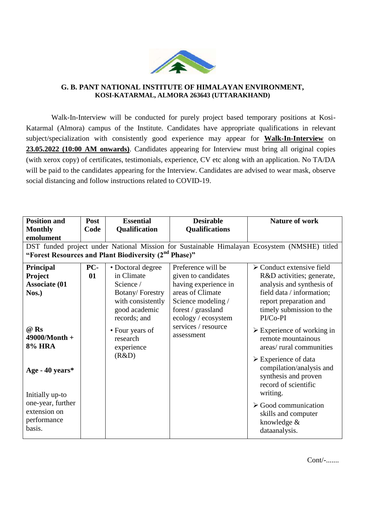

## **G. B. PANT NATIONAL INSTITUTE OF HIMALAYAN ENVIRONMENT, KOSI-KATARMAL, ALMORA 263643 (UTTARAKHAND)**

Walk-In-Interview will be conducted for purely project based temporary positions at Kosi-Katarmal (Almora) campus of the Institute. Candidates have appropriate qualifications in relevant subject/specialization with consistently good experience may appear for **Walk-In-Interview** on **23.05.2022 (10:00 AM onwards)**. Candidates appearing for Interview must bring all original copies (with xerox copy) of certificates, testimonials, experience, CV etc along with an application. No TA/DA will be paid to the candidates appearing for the Interview. Candidates are advised to wear mask, observe social distancing and follow instructions related to COVID-19.

| <b>Position and</b>                                                                          | Post | <b>Essential</b>                          | <b>Desirable</b>                  | <b>Nature of work</b>                                                                                                       |  |  |  |
|----------------------------------------------------------------------------------------------|------|-------------------------------------------|-----------------------------------|-----------------------------------------------------------------------------------------------------------------------------|--|--|--|
| <b>Monthly</b>                                                                               | Code | Qualification                             | <b>Qualifications</b>             |                                                                                                                             |  |  |  |
| emolument                                                                                    |      |                                           |                                   |                                                                                                                             |  |  |  |
| DST funded project under National Mission for Sustainable Himalayan Ecosystem (NMSHE) titled |      |                                           |                                   |                                                                                                                             |  |  |  |
| "Forest Resources and Plant Biodiversity (2 <sup>nd</sup> Phase)"                            |      |                                           |                                   |                                                                                                                             |  |  |  |
| Principal                                                                                    | PC-  | • Doctoral degree                         | Preference will be                | $\triangleright$ Conduct extensive field                                                                                    |  |  |  |
| <b>Project</b>                                                                               | 01   | in Climate                                | given to candidates               | R&D activities; generate,                                                                                                   |  |  |  |
| <b>Associate (01</b>                                                                         |      | Science /                                 | having experience in              | analysis and synthesis of                                                                                                   |  |  |  |
| Nos.)                                                                                        |      | <b>Botany/Forestry</b>                    | areas of Climate                  | field data / information;                                                                                                   |  |  |  |
|                                                                                              |      | with consistently                         | Science modeling /                | report preparation and                                                                                                      |  |  |  |
|                                                                                              |      | good academic                             | forest / grassland                | timely submission to the                                                                                                    |  |  |  |
|                                                                                              |      | records; and                              | ecology / ecosystem               | PI/Co-PI                                                                                                                    |  |  |  |
| @ Rs<br>49000/Month +<br><b>8% HRA</b>                                                       |      | • Four years of<br>research<br>experience | services / resource<br>assessment | $\triangleright$ Experience of working in<br>remote mountainous<br>areas/ rural communities                                 |  |  |  |
| Age - 40 years*<br>Initially up-to                                                           |      | (R&D)                                     |                                   | $\triangleright$ Experience of data<br>compilation/analysis and<br>synthesis and proven<br>record of scientific<br>writing. |  |  |  |
| one-year, further<br>extension on<br>performance<br>basis.                                   |      |                                           |                                   | $\triangleright$ Good communication<br>skills and computer<br>knowledge &<br>dataanalysis.                                  |  |  |  |

Cont/-.......